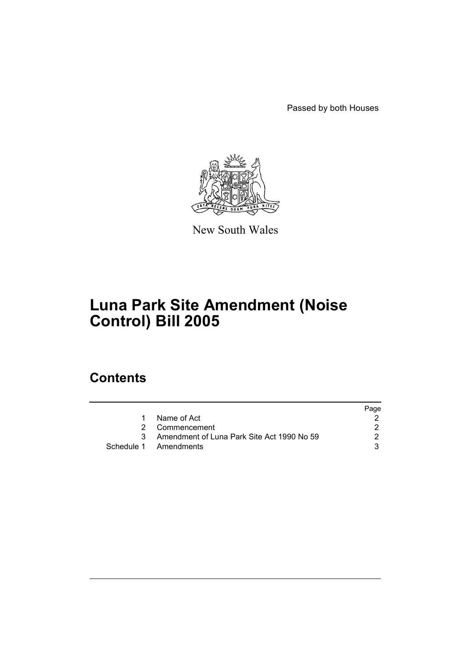Passed by both Houses



New South Wales

# **Luna Park Site Amendment (Noise Control) Bill 2005**

## **Contents**

|    |                                              | Page |
|----|----------------------------------------------|------|
| 1. | Name of Act                                  |      |
|    | 2 Commencement                               |      |
|    | 3 Amendment of Luna Park Site Act 1990 No 59 |      |
|    | Schedule 1 Amendments                        |      |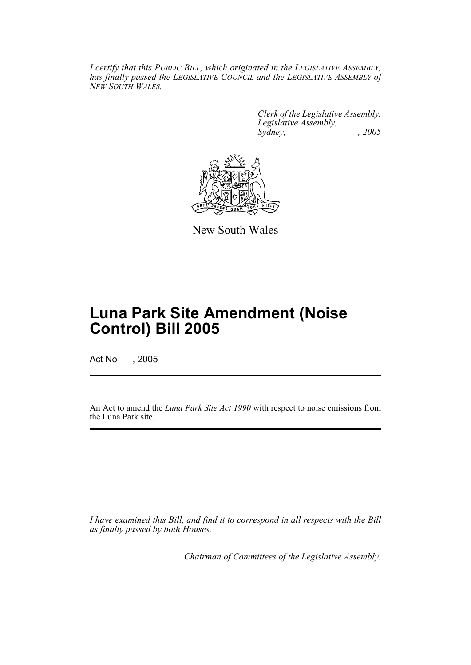*I certify that this PUBLIC BILL, which originated in the LEGISLATIVE ASSEMBLY, has finally passed the LEGISLATIVE COUNCIL and the LEGISLATIVE ASSEMBLY of NEW SOUTH WALES.*

> *Clerk of the Legislative Assembly. Legislative Assembly, Sydney, , 2005*



New South Wales

## **Luna Park Site Amendment (Noise Control) Bill 2005**

Act No , 2005

An Act to amend the *Luna Park Site Act 1990* with respect to noise emissions from the Luna Park site.

*I have examined this Bill, and find it to correspond in all respects with the Bill as finally passed by both Houses.*

*Chairman of Committees of the Legislative Assembly.*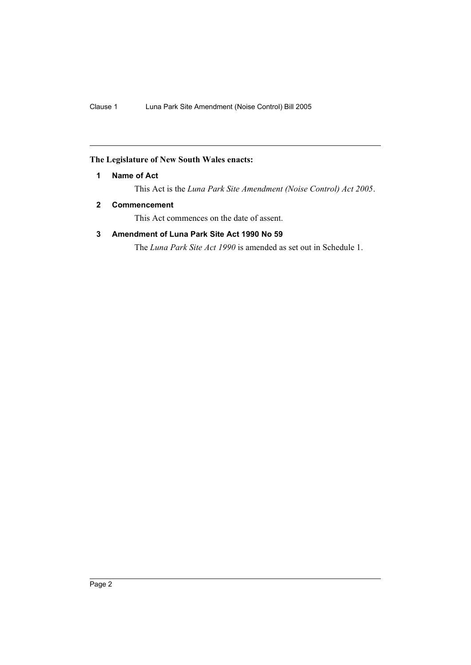## <span id="page-2-0"></span>**The Legislature of New South Wales enacts:**

#### **1 Name of Act**

This Act is the *Luna Park Site Amendment (Noise Control) Act 2005*.

#### <span id="page-2-1"></span>**2 Commencement**

This Act commences on the date of assent.

### <span id="page-2-2"></span>**3 Amendment of Luna Park Site Act 1990 No 59**

The *Luna Park Site Act 1990* is amended as set out in Schedule 1.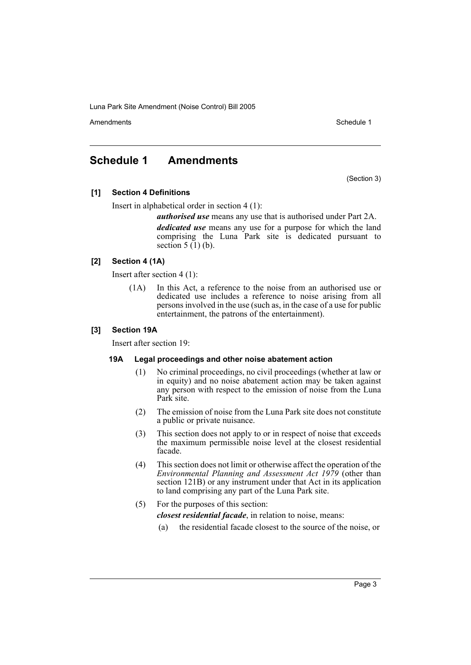Amendments **Amendments** Schedule 1

## <span id="page-3-0"></span>**Schedule 1 Amendments**

(Section 3)

#### **[1] Section 4 Definitions**

Insert in alphabetical order in section 4 (1):

*authorised use* means any use that is authorised under Part 2A. *dedicated use* means any use for a purpose for which the land comprising the Luna Park site is dedicated pursuant to section  $5(1)(b)$ .

#### **[2] Section 4 (1A)**

Insert after section 4 (1):

(1A) In this Act, a reference to the noise from an authorised use or dedicated use includes a reference to noise arising from all persons involved in the use (such as, in the case of a use for public entertainment, the patrons of the entertainment).

#### **[3] Section 19A**

Insert after section 19:

#### **19A Legal proceedings and other noise abatement action**

- (1) No criminal proceedings, no civil proceedings (whether at law or in equity) and no noise abatement action may be taken against any person with respect to the emission of noise from the Luna Park site.
- (2) The emission of noise from the Luna Park site does not constitute a public or private nuisance.
- (3) This section does not apply to or in respect of noise that exceeds the maximum permissible noise level at the closest residential facade.
- (4) This section does not limit or otherwise affect the operation of the *Environmental Planning and Assessment Act 1979* (other than section 121B) or any instrument under that Act in its application to land comprising any part of the Luna Park site.
- (5) For the purposes of this section: *closest residential facade*, in relation to noise, means:
	- (a) the residential facade closest to the source of the noise, or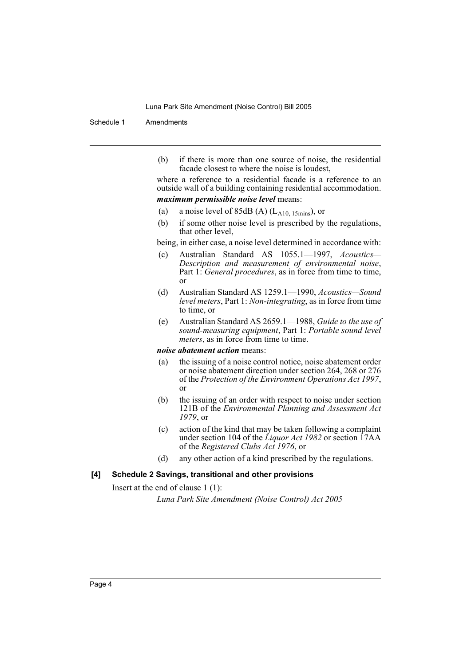#### Schedule 1 Amendments

(b) if there is more than one source of noise, the residential facade closest to where the noise is loudest,

where a reference to a residential facade is a reference to an outside wall of a building containing residential accommodation.

#### *maximum permissible noise level* means:

- (a) a noise level of 85dB (A)  $(L_{A10, 15 mins})$ , or
- (b) if some other noise level is prescribed by the regulations, that other level,

being, in either case, a noise level determined in accordance with:

- (c) Australian Standard AS 1055.1—1997, *Acoustics— Description and measurement of environmental noise*, Part 1: *General procedures*, as in force from time to time, or
- (d) Australian Standard AS 1259.1—1990, *Acoustics—Sound level meters*, Part 1: *Non-integrating*, as in force from time to time, or
- (e) Australian Standard AS 2659.1—1988, *Guide to the use of sound-measuring equipment*, Part 1: *Portable sound level meters*, as in force from time to time.

#### *noise abatement action* means:

- (a) the issuing of a noise control notice, noise abatement order or noise abatement direction under section 264, 268 or 276 of the *Protection of the Environment Operations Act 1997*, or
- (b) the issuing of an order with respect to noise under section 121B of the *Environmental Planning and Assessment Act 1979*, or
- (c) action of the kind that may be taken following a complaint under section 104 of the *Liquor Act 1982* or section 17AA of the *Registered Clubs Act 1976*, or
- (d) any other action of a kind prescribed by the regulations.

#### **[4] Schedule 2 Savings, transitional and other provisions**

Insert at the end of clause 1 (1):

*Luna Park Site Amendment (Noise Control) Act 2005*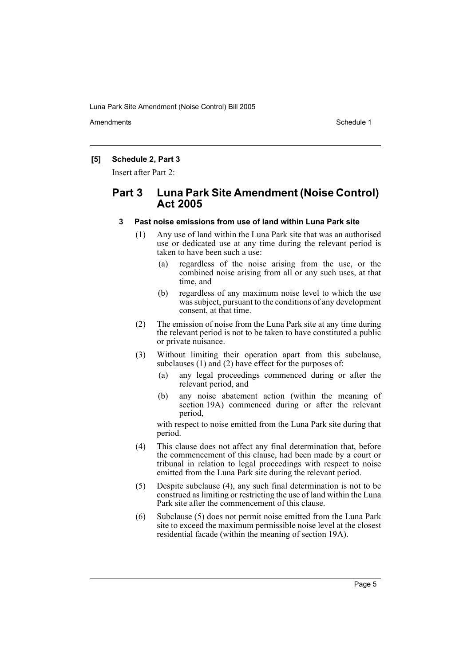Amendments **Amendments** Schedule 1

#### **[5] Schedule 2, Part 3**

Insert after Part 2:

## **Part 3 Luna Park Site Amendment (Noise Control) Act 2005**

#### **3 Past noise emissions from use of land within Luna Park site**

- (1) Any use of land within the Luna Park site that was an authorised use or dedicated use at any time during the relevant period is taken to have been such a use:
	- (a) regardless of the noise arising from the use, or the combined noise arising from all or any such uses, at that time, and
	- (b) regardless of any maximum noise level to which the use was subject, pursuant to the conditions of any development consent, at that time.
- (2) The emission of noise from the Luna Park site at any time during the relevant period is not to be taken to have constituted a public or private nuisance.
- (3) Without limiting their operation apart from this subclause, subclauses (1) and (2) have effect for the purposes of:
	- (a) any legal proceedings commenced during or after the relevant period, and
	- (b) any noise abatement action (within the meaning of section 19A) commenced during or after the relevant period,

with respect to noise emitted from the Luna Park site during that period.

- (4) This clause does not affect any final determination that, before the commencement of this clause, had been made by a court or tribunal in relation to legal proceedings with respect to noise emitted from the Luna Park site during the relevant period.
- (5) Despite subclause (4), any such final determination is not to be construed as limiting or restricting the use of land within the Luna Park site after the commencement of this clause.
- (6) Subclause (5) does not permit noise emitted from the Luna Park site to exceed the maximum permissible noise level at the closest residential facade (within the meaning of section 19A).